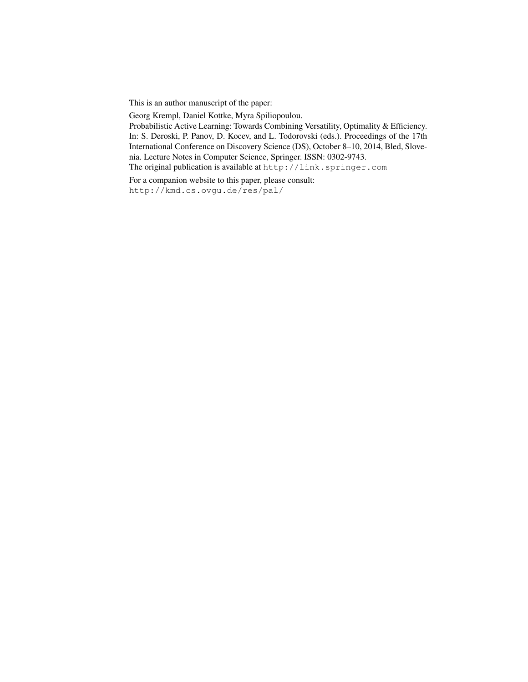This is an author manuscript of the paper:

Georg Krempl, Daniel Kottke, Myra Spiliopoulou.

Probabilistic Active Learning: Towards Combining Versatility, Optimality & Efficiency. In: S. Deroski, P. Panov, D. Kocev, and L. Todorovski (eds.). Proceedings of the 17th International Conference on Discovery Science (DS), October 8–10, 2014, Bled, Slovenia. Lecture Notes in Computer Science, Springer. ISSN: 0302-9743.

The original publication is available at http://link.springer.com

For a companion website to this paper, please consult: http://kmd.cs.ovgu.de/res/pal/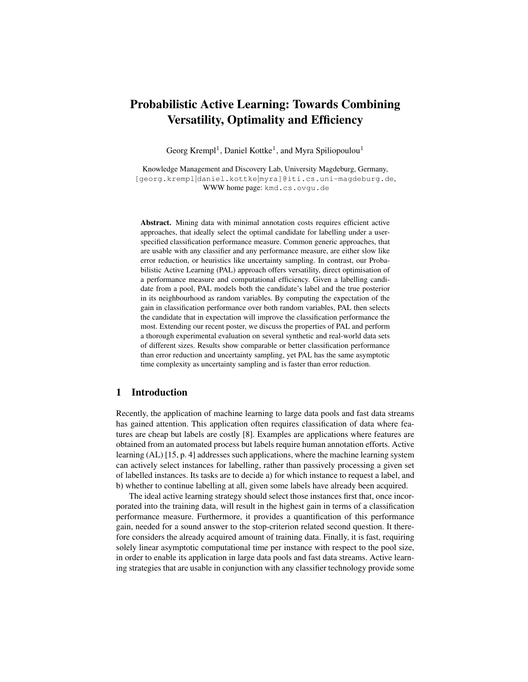# Probabilistic Active Learning: Towards Combining Versatility, Optimality and Efficiency

Georg Krempl<sup>1</sup>, Daniel Kottke<sup>1</sup>, and Myra Spiliopoulou<sup>1</sup>

Knowledge Management and Discovery Lab, University Magdeburg, Germany, [georg.krempl|daniel.kottke|myra]@iti.cs.uni-magdeburg.de, WWW home page: kmd.cs.ovgu.de

Abstract. Mining data with minimal annotation costs requires efficient active approaches, that ideally select the optimal candidate for labelling under a userspecified classification performance measure. Common generic approaches, that are usable with any classifier and any performance measure, are either slow like error reduction, or heuristics like uncertainty sampling. In contrast, our Probabilistic Active Learning (PAL) approach offers versatility, direct optimisation of a performance measure and computational efficiency. Given a labelling candidate from a pool, PAL models both the candidate's label and the true posterior in its neighbourhood as random variables. By computing the expectation of the gain in classification performance over both random variables, PAL then selects the candidate that in expectation will improve the classification performance the most. Extending our recent poster, we discuss the properties of PAL and perform a thorough experimental evaluation on several synthetic and real-world data sets of different sizes. Results show comparable or better classification performance than error reduction and uncertainty sampling, yet PAL has the same asymptotic time complexity as uncertainty sampling and is faster than error reduction.

# 1 Introduction

Recently, the application of machine learning to large data pools and fast data streams has gained attention. This application often requires classification of data where features are cheap but labels are costly [8]. Examples are applications where features are obtained from an automated process but labels require human annotation efforts. Active learning (AL) [15, p. 4] addresses such applications, where the machine learning system can actively select instances for labelling, rather than passively processing a given set of labelled instances. Its tasks are to decide a) for which instance to request a label, and b) whether to continue labelling at all, given some labels have already been acquired.

The ideal active learning strategy should select those instances first that, once incorporated into the training data, will result in the highest gain in terms of a classification performance measure. Furthermore, it provides a quantification of this performance gain, needed for a sound answer to the stop-criterion related second question. It therefore considers the already acquired amount of training data. Finally, it is fast, requiring solely linear asymptotic computational time per instance with respect to the pool size, in order to enable its application in large data pools and fast data streams. Active learning strategies that are usable in conjunction with any classifier technology provide some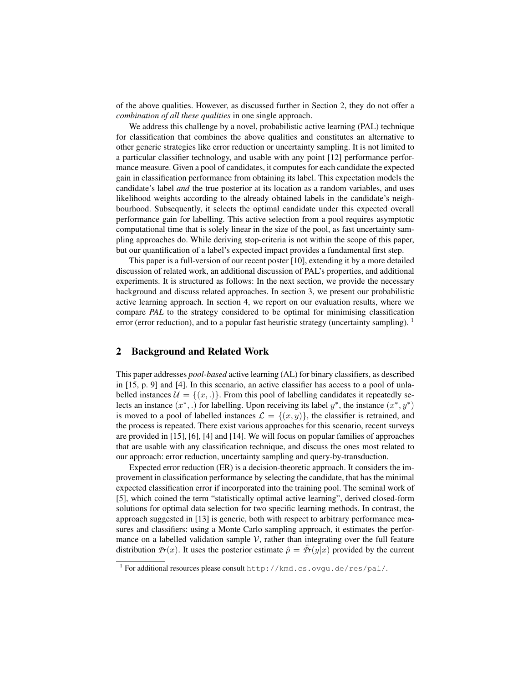of the above qualities. However, as discussed further in Section 2, they do not offer a *combination of all these qualities* in one single approach.

We address this challenge by a novel, probabilistic active learning (PAL) technique for classification that combines the above qualities and constitutes an alternative to other generic strategies like error reduction or uncertainty sampling. It is not limited to a particular classifier technology, and usable with any point [12] performance performance measure. Given a pool of candidates, it computes for each candidate the expected gain in classification performance from obtaining its label. This expectation models the candidate's label *and* the true posterior at its location as a random variables, and uses likelihood weights according to the already obtained labels in the candidate's neighbourhood. Subsequently, it selects the optimal candidate under this expected overall performance gain for labelling. This active selection from a pool requires asymptotic computational time that is solely linear in the size of the pool, as fast uncertainty sampling approaches do. While deriving stop-criteria is not within the scope of this paper, but our quantification of a label's expected impact provides a fundamental first step.

This paper is a full-version of our recent poster [10], extending it by a more detailed discussion of related work, an additional discussion of PAL's properties, and additional experiments. It is structured as follows: In the next section, we provide the necessary background and discuss related approaches. In section 3, we present our probabilistic active learning approach. In section 4, we report on our evaluation results, where we compare *PAL* to the strategy considered to be optimal for minimising classification error (error reduction), and to a popular fast heuristic strategy (uncertainty sampling).  $<sup>1</sup>$ </sup>

# 2 Background and Related Work

This paper addresses *pool-based* active learning (AL) for binary classifiers, as described in [15, p. 9] and [4]. In this scenario, an active classifier has access to a pool of unlabelled instances  $\mathcal{U} = \{(x, .)\}\$ . From this pool of labelling candidates it repeatedly selects an instance  $(x^*,.)$  for labelling. Upon receiving its label  $y^*$ , the instance  $(x^*, y^*)$ is moved to a pool of labelled instances  $\mathcal{L} = \{(x, y)\}\$ , the classifier is retrained, and the process is repeated. There exist various approaches for this scenario, recent surveys are provided in [15], [6], [4] and [14]. We will focus on popular families of approaches that are usable with any classification technique, and discuss the ones most related to our approach: error reduction, uncertainty sampling and query-by-transduction.

Expected error reduction (ER) is a decision-theoretic approach. It considers the improvement in classification performance by selecting the candidate, that has the minimal expected classification error if incorporated into the training pool. The seminal work of [5], which coined the term "statistically optimal active learning", derived closed-form solutions for optimal data selection for two specific learning methods. In contrast, the approach suggested in [13] is generic, both with respect to arbitrary performance measures and classifiers: using a Monte Carlo sampling approach, it estimates the performance on a labelled validation sample  $V$ , rather than integrating over the full feature distribution  $Pr(x)$ . It uses the posterior estimate  $\hat{p} = Pr(y|x)$  provided by the current

<sup>1</sup> For additional resources please consult http://kmd.cs.ovgu.de/res/pal/.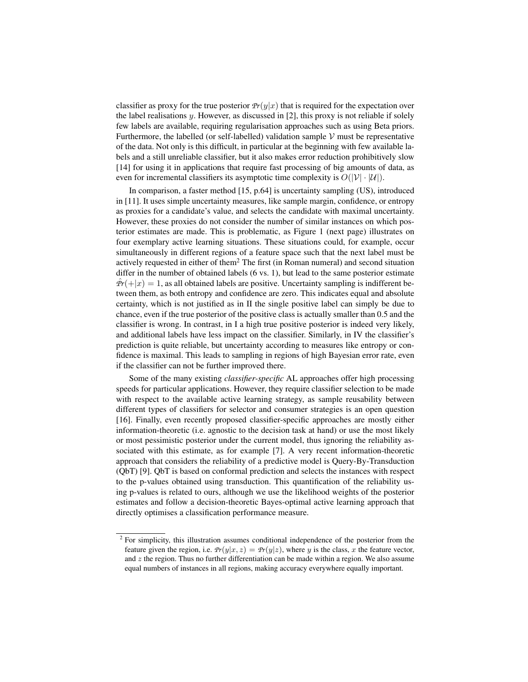classifier as proxy for the true posterior  $Pr(y|x)$  that is required for the expectation over the label realisations y. However, as discussed in  $[2]$ , this proxy is not reliable if solely few labels are available, requiring regularisation approaches such as using Beta priors. Furthermore, the labelled (or self-labelled) validation sample  $V$  must be representative of the data. Not only is this difficult, in particular at the beginning with few available labels and a still unreliable classifier, but it also makes error reduction prohibitively slow [14] for using it in applications that require fast processing of big amounts of data, as even for incremental classifiers its asymptotic time complexity is  $O(|\mathcal{V}| \cdot |\mathcal{U}|)$ .

In comparison, a faster method [15, p.64] is uncertainty sampling (US), introduced in [11]. It uses simple uncertainty measures, like sample margin, confidence, or entropy as proxies for a candidate's value, and selects the candidate with maximal uncertainty. However, these proxies do not consider the number of similar instances on which posterior estimates are made. This is problematic, as Figure 1 (next page) illustrates on four exemplary active learning situations. These situations could, for example, occur simultaneously in different regions of a feature space such that the next label must be actively requested in either of them<sup>2</sup> The first (in Roman numeral) and second situation differ in the number of obtained labels (6 vs. 1), but lead to the same posterior estimate  $\hat{Pr}(+|x) = 1$ , as all obtained labels are positive. Uncertainty sampling is indifferent between them, as both entropy and confidence are zero. This indicates equal and absolute certainty, which is not justified as in II the single positive label can simply be due to chance, even if the true posterior of the positive class is actually smaller than 0.5 and the classifier is wrong. In contrast, in I a high true positive posterior is indeed very likely, and additional labels have less impact on the classifier. Similarly, in IV the classifier's prediction is quite reliable, but uncertainty according to measures like entropy or confidence is maximal. This leads to sampling in regions of high Bayesian error rate, even if the classifier can not be further improved there.

Some of the many existing *classifier-specific* AL approaches offer high processing speeds for particular applications. However, they require classifier selection to be made with respect to the available active learning strategy, as sample reusability between different types of classifiers for selector and consumer strategies is an open question [16]. Finally, even recently proposed classifier-specific approaches are mostly either information-theoretic (i.e. agnostic to the decision task at hand) or use the most likely or most pessimistic posterior under the current model, thus ignoring the reliability associated with this estimate, as for example [7]. A very recent information-theoretic approach that considers the reliability of a predictive model is Query-By-Transduction (QbT) [9]. QbT is based on conformal prediction and selects the instances with respect to the p-values obtained using transduction. This quantification of the reliability using p-values is related to ours, although we use the likelihood weights of the posterior estimates and follow a decision-theoretic Bayes-optimal active learning approach that directly optimises a classification performance measure.

 $2^2$  For simplicity, this illustration assumes conditional independence of the posterior from the feature given the region, i.e.  $Pr(y|x, z) = Pr(y|z)$ , where y is the class, x the feature vector, and  $z$  the region. Thus no further differentiation can be made within a region. We also assume equal numbers of instances in all regions, making accuracy everywhere equally important.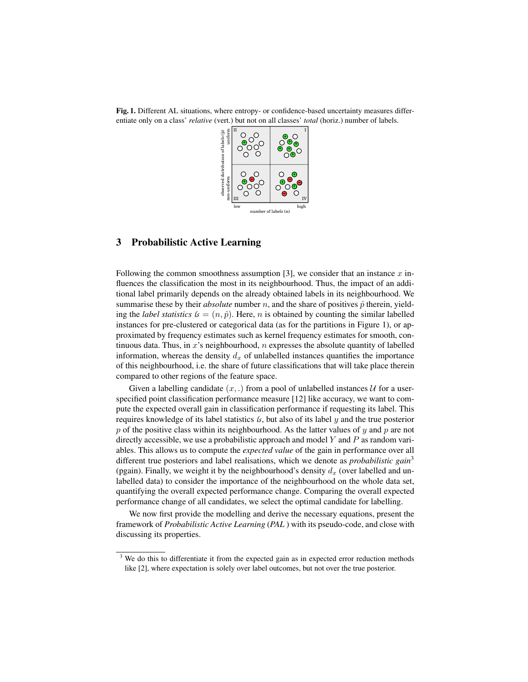Fig. 1. Different AL situations, where entropy- or confidence-based uncertainty measures differentiate only on a class' *relative* (vert.) but not on all classes' *total* (horiz.) number of labels.



# 3 Probabilistic Active Learning

Following the common smoothness assumption [3], we consider that an instance  $x$  influences the classification the most in its neighbourhood. Thus, the impact of an additional label primarily depends on the already obtained labels in its neighbourhood. We summarise these by their *absolute* number n, and the share of positives  $\hat{p}$  therein, yielding the *label statistics*  $l_s = (n, \hat{p})$ . Here, *n* is obtained by counting the similar labelled instances for pre-clustered or categorical data (as for the partitions in Figure 1), or approximated by frequency estimates such as kernel frequency estimates for smooth, continuous data. Thus, in  $x$ 's neighbourhood,  $n$  expresses the absolute quantity of labelled information, whereas the density  $d_x$  of unlabelled instances quantifies the importance of this neighbourhood, i.e. the share of future classifications that will take place therein compared to other regions of the feature space.

Given a labelling candidate  $(x,.)$  from a pool of unlabelled instances U for a userspecified point classification performance measure [12] like accuracy, we want to compute the expected overall gain in classification performance if requesting its label. This requires knowledge of its label statistics *ls*, but also of its label y and the true posterior  $p$  of the positive class within its neighbourhood. As the latter values of  $y$  and  $p$  are not directly accessible, we use a probabilistic approach and model  $Y$  and  $P$  as random variables. This allows us to compute the *expected value* of the gain in performance over all different true posteriors and label realisations, which we denote as *probabilistic gain*<sup>3</sup> (pgain). Finally, we weight it by the neighbourhood's density  $d_r$  (over labelled and unlabelled data) to consider the importance of the neighbourhood on the whole data set, quantifying the overall expected performance change. Comparing the overall expected performance change of all candidates, we select the optimal candidate for labelling.

We now first provide the modelling and derive the necessary equations, present the framework of *Probabilistic Active Learning* (*PAL* ) with its pseudo-code, and close with discussing its properties.

 $3$  We do this to differentiate it from the expected gain as in expected error reduction methods like [2], where expectation is solely over label outcomes, but not over the true posterior.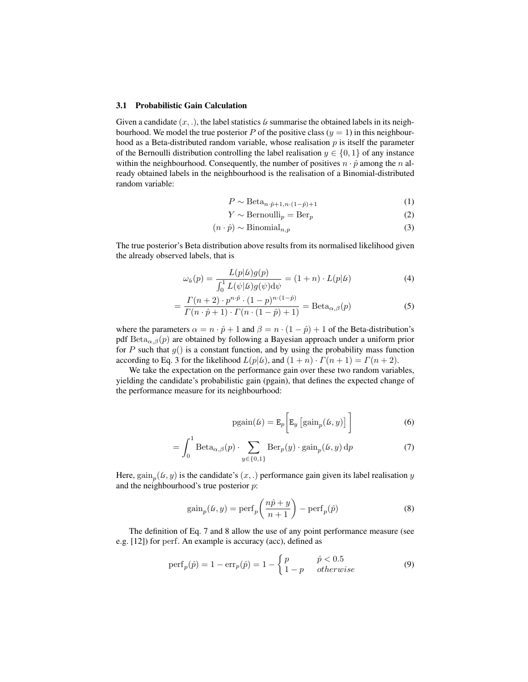#### 3.1 Probabilistic Gain Calculation

Given a candidate  $(x, \cdot)$ , the label statistics *ls* summarise the obtained labels in its neighbourhood. We model the true posterior P of the positive class  $(y = 1)$  in this neighbourhood as a Beta-distributed random variable, whose realisation  $p$  is itself the parameter of the Bernoulli distribution controlling the label realisation  $y \in \{0, 1\}$  of any instance within the neighbourhood. Consequently, the number of positives  $n \cdot \hat{p}$  among the n already obtained labels in the neighbourhood is the realisation of a Binomial-distributed random variable:

$$
P \sim \text{Beta}_{n \cdot \hat{p} + 1, n \cdot (1 - \hat{p}) + 1} \tag{1}
$$

$$
Y \sim \text{Bernoulli}_p = \text{Ber}_p \tag{2}
$$

$$
(n \cdot \hat{p}) \sim \text{Binomial}_{n,p} \tag{3}
$$

The true posterior's Beta distribution above results from its normalised likelihood given the already observed labels, that is

$$
\omega_{\mathcal{L}}(p) = \frac{L(p|\mathcal{L})g(p)}{\int_0^1 L(\psi|\mathcal{L})g(\psi)d\psi} = (1+n) \cdot L(p|\mathcal{L})
$$
\n(4)

$$
= \frac{\Gamma(n+2) \cdot p^{n \cdot \hat{p}} \cdot (1-p)^{n \cdot (1-\hat{p})}}{\Gamma(n \cdot \hat{p} + 1) \cdot \Gamma(n \cdot (1-\hat{p}) + 1)} = \text{Beta}_{\alpha, \beta}(p) \tag{5}
$$

where the parameters  $\alpha = n \cdot \hat{p} + 1$  and  $\beta = n \cdot (1 - \hat{p}) + 1$  of the Beta-distribution's pdf Beta<sub> $\alpha,\beta(p)$ </sub> are obtained by following a Bayesian approach under a uniform prior for P such that  $g()$  is a constant function, and by using the probability mass function according to Eq. 3 for the likelihood  $L(p|k)$ , and  $(1 + n) \cdot \Gamma(n + 1) = \Gamma(n + 2)$ .

We take the expectation on the performance gain over these two random variables, yielding the candidate's probabilistic gain (pgain), that defines the expected change of the performance measure for its neighbourhood:

$$
pgain(\mathbf{k}) = \mathbf{E}_p \left[ \mathbf{E}_y \left[ gain_p(\mathbf{k}, y) \right] \right]
$$
 (6)

$$
= \int_0^1 \text{Beta}_{\alpha,\beta}(p) \cdot \sum_{y \in \{0,1\}} \text{Ber}_p(y) \cdot \text{gain}_p(\mathbf{k}, y) \, dp \tag{7}
$$

Here,  $\text{gain}_p(\mathbf{k}, y)$  is the candidate's  $(x, .)$  performance gain given its label realisation y and the neighbourhood's true posterior  $p$ :

$$
gain_p(\mathbf{k}, \mathbf{y}) = \text{perf}_p\left(\frac{n\hat{\mathbf{p}} + \mathbf{y}}{n+1}\right) - \text{perf}_p(\hat{\mathbf{p}})
$$
(8)

The definition of Eq. 7 and 8 allow the use of any point performance measure (see e.g. [12]) for perf. An example is accuracy (acc), defined as

$$
\text{perf}_p(\hat{p}) = 1 - \text{err}_p(\hat{p}) = 1 - \begin{cases} p & \hat{p} < 0.5\\ 1 - p & otherwise \end{cases}
$$
 (9)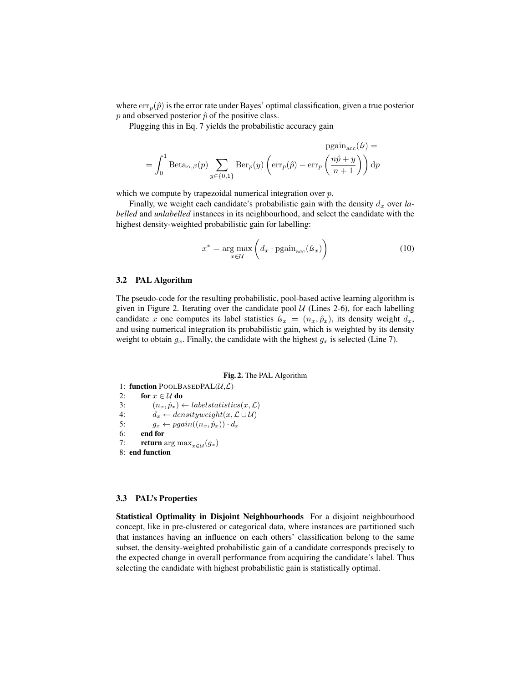where  $err_p(\hat{p})$  is the error rate under Bayes' optimal classification, given a true posterior  $p$  and observed posterior  $\hat{p}$  of the positive class.

Plugging this in Eq. 7 yields the probabilistic accuracy gain

$$
\text{pgain}_{\text{acc}}(k) =
$$

$$
= \int_0^1 \text{Beta}_{\alpha,\beta}(p) \sum_{y \in \{0,1\}} \text{Ber}_p(y) \left( \text{err}_p(\hat{p}) - \text{err}_p\left(\frac{n\hat{p} + y}{n+1}\right) \right) dp
$$

which we compute by trapezoidal numerical integration over p.

Finally, we weight each candidate's probabilistic gain with the density  $d_x$  over *labelled* and *unlabelled* instances in its neighbourhood, and select the candidate with the highest density-weighted probabilistic gain for labelling:

$$
x^* = \underset{x \in \mathcal{U}}{\arg \max} \left( d_x \cdot \underset{x}{\text{again}}_{\text{acc}}(\mathcal{L}_x) \right) \tag{10}
$$

### 3.2 PAL Algorithm

The pseudo-code for the resulting probabilistic, pool-based active learning algorithm is given in Figure 2. Iterating over the candidate pool  $U$  (Lines 2-6), for each labelling candidate x one computes its label statistics  $k_x = (n_x, \hat{p}_x)$ , its density weight  $d_x$ , and using numerical integration its probabilistic gain, which is weighted by its density weight to obtain  $g_x$ . Finally, the candidate with the highest  $g_x$  is selected (Line 7).

## Fig. 2. The PAL Algorithm

1: function POOLBASEDPAL( $U,\mathcal{L}$ ) 2: for  $x \in \mathcal{U}$  do 3:  $(n_x, \hat{p}_x) \leftarrow label statistics(x, \mathcal{L})$ 4:  $d_x \leftarrow densityweight(x, \mathcal{L} \cup \mathcal{U})$ 5:  $g_x \leftarrow pgain((n_x, \hat{p}_x)) \cdot d_x$ 6: end for 7: **return** arg  $\max_{x \in \mathcal{U}} (g_x)$ 8: end function

#### 3.3 PAL's Properties

Statistical Optimality in Disjoint Neighbourhoods For a disjoint neighbourhood concept, like in pre-clustered or categorical data, where instances are partitioned such that instances having an influence on each others' classification belong to the same subset, the density-weighted probabilistic gain of a candidate corresponds precisely to the expected change in overall performance from acquiring the candidate's label. Thus selecting the candidate with highest probabilistic gain is statistically optimal.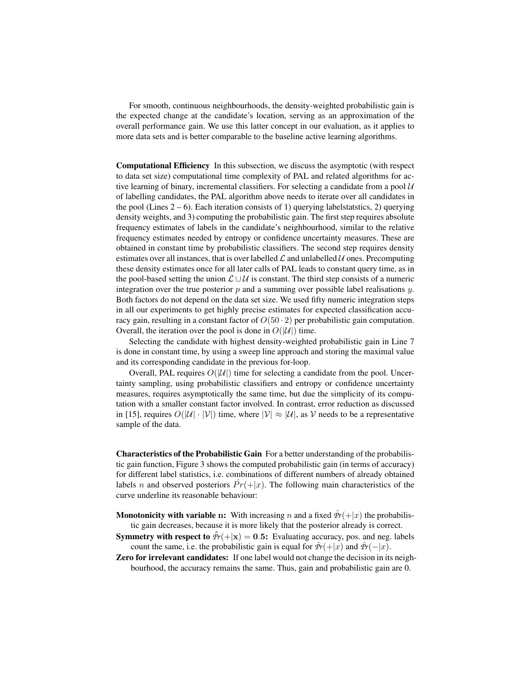For smooth, continuous neighbourhoods, the density-weighted probabilistic gain is the expected change at the candidate's location, serving as an approximation of the overall performance gain. We use this latter concept in our evaluation, as it applies to more data sets and is better comparable to the baseline active learning algorithms.

Computational Efficiency In this subsection, we discuss the asymptotic (with respect to data set size) computational time complexity of PAL and related algorithms for active learning of binary, incremental classifiers. For selecting a candidate from a pool  $\mathcal{U}$ of labelling candidates, the PAL algorithm above needs to iterate over all candidates in the pool (Lines  $2 - 6$ ). Each iteration consists of 1) querying labelstatstics, 2) querying density weights, and 3) computing the probabilistic gain. The first step requires absolute frequency estimates of labels in the candidate's neighbourhood, similar to the relative frequency estimates needed by entropy or confidence uncertainty measures. These are obtained in constant time by probabilistic classifiers. The second step requires density estimates over all instances, that is over labelled  $\mathcal L$  and unlabelled  $\mathcal U$  ones. Precomputing these density estimates once for all later calls of PAL leads to constant query time, as in the pool-based setting the union  $\mathcal{L} \cup \mathcal{U}$  is constant. The third step consists of a numeric integration over the true posterior  $p$  and a summing over possible label realisations  $y$ . Both factors do not depend on the data set size. We used fifty numeric integration steps in all our experiments to get highly precise estimates for expected classification accuracy gain, resulting in a constant factor of  $O(50 \cdot 2)$  per probabilistic gain computation. Overall, the iteration over the pool is done in  $O(|\mathcal{U}|)$  time.

Selecting the candidate with highest density-weighted probabilistic gain in Line 7 is done in constant time, by using a sweep line approach and storing the maximal value and its corresponding candidate in the previous for-loop.

Overall, PAL requires  $O(|\mathcal{U}|)$  time for selecting a candidate from the pool. Uncertainty sampling, using probabilistic classifiers and entropy or confidence uncertainty measures, requires asymptotically the same time, but due the simplicity of its computation with a smaller constant factor involved. In contrast, error reduction as discussed in [15], requires  $O(|U| \cdot |V|)$  time, where  $|V| \approx |U|$ , as V needs to be a representative sample of the data.

Characteristics of the Probabilistic Gain For a better understanding of the probabilistic gain function, Figure 3 shows the computed probabilistic gain (in terms of accuracy) for different label statistics, i.e. combinations of different numbers of already obtained labels n and observed posteriors  $Pr(+|x)$ . The following main characteristics of the curve underline its reasonable behaviour:

- **Monotonicity with variable n:** With increasing n and a fixed  $\hat{Pr}(+|x)$  the probabilistic gain decreases, because it is more likely that the posterior already is correct.
- **Symmetry with respect to**  $\hat{p}_r(\cdot|\mathbf{x}) = 0.5$ **:** Evaluating accuracy, pos. and neg. labels count the same, i.e. the probabilistic gain is equal for  $\hat{Pr}(+|x)$  and  $\hat{Pr}(-|x)$ .
- Zero for irrelevant candidates: If one label would not change the decision in its neighbourhood, the accuracy remains the same. Thus, gain and probabilistic gain are 0.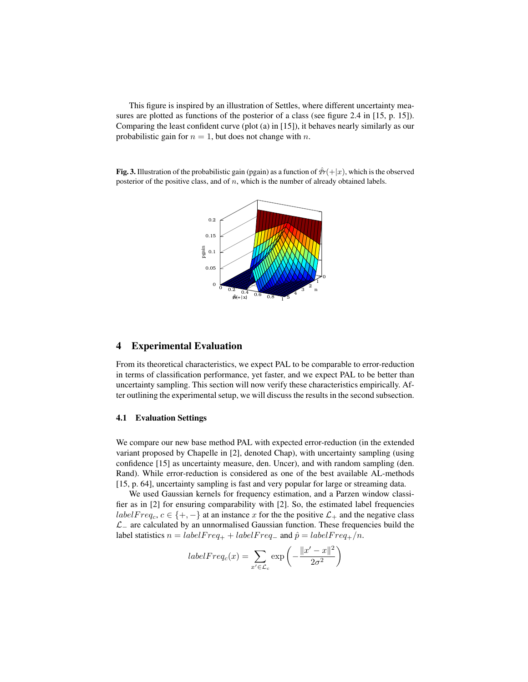This figure is inspired by an illustration of Settles, where different uncertainty measures are plotted as functions of the posterior of a class (see figure 2.4 in [15, p. 15]). Comparing the least confident curve (plot (a) in [15]), it behaves nearly similarly as our probabilistic gain for  $n = 1$ , but does not change with n.

**Fig. 3.** Illustration of the probabilistic gain (pgain) as a function of  $\hat{Pr}(+|x)$ , which is the observed posterior of the positive class, and of  $n$ , which is the number of already obtained labels.



# 4 Experimental Evaluation

From its theoretical characteristics, we expect PAL to be comparable to error-reduction in terms of classification performance, yet faster, and we expect PAL to be better than uncertainty sampling. This section will now verify these characteristics empirically. After outlining the experimental setup, we will discuss the results in the second subsection.

## 4.1 Evaluation Settings

We compare our new base method PAL with expected error-reduction (in the extended variant proposed by Chapelle in [2], denoted Chap), with uncertainty sampling (using confidence [15] as uncertainty measure, den. Uncer), and with random sampling (den. Rand). While error-reduction is considered as one of the best available AL-methods [15, p. 64], uncertainty sampling is fast and very popular for large or streaming data.

We used Gaussian kernels for frequency estimation, and a Parzen window classifier as in [2] for ensuring comparability with [2]. So, the estimated label frequencies labelFreq<sub>c</sub>,  $c \in \{+, -\}$  at an instance x for the the positive  $\mathcal{L}_+$  and the negative class  $\mathcal{L}_-$  are calculated by an unnormalised Gaussian function. These frequencies build the label statistics  $n = labelFreq_+ + labelFreq_+$  and  $\hat{p} = labelFreq_+/n$ .

$$
labelFreq_c(x) = \sum_{x' \in \mathcal{L}_c} \exp\left(-\frac{\|x' - x\|^2}{2\sigma^2}\right)
$$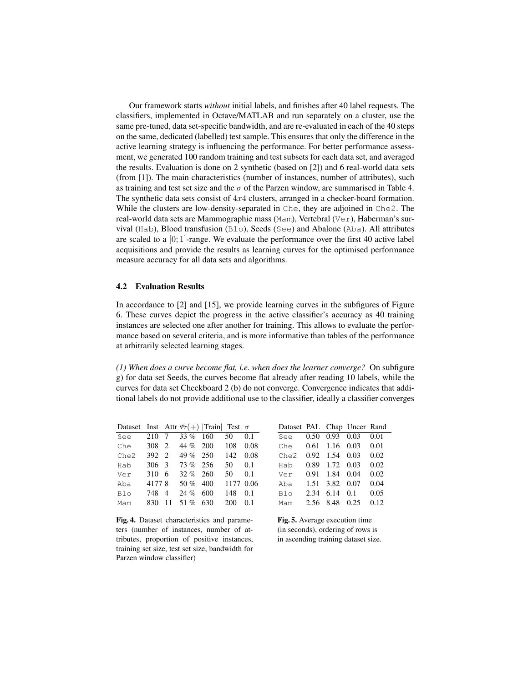Our framework starts *without* initial labels, and finishes after 40 label requests. The classifiers, implemented in Octave/MATLAB and run separately on a cluster, use the same pre-tuned, data set-specific bandwidth, and are re-evaluated in each of the 40 steps on the same, dedicated (labelled) test sample. This ensures that only the difference in the active learning strategy is influencing the performance. For better performance assessment, we generated 100 random training and test subsets for each data set, and averaged the results. Evaluation is done on 2 synthetic (based on [2]) and 6 real-world data sets (from [1]). The main characteristics (number of instances, number of attributes), such as training and test set size and the  $\sigma$  of the Parzen window, are summarised in Table 4. The synthetic data sets consist of 4x4 clusters, arranged in a checker-board formation. While the clusters are low-density-separated in Che, they are adjoined in Che2. The real-world data sets are Mammographic mass (Mam), Vertebral (Ver), Haberman's survival (Hab), Blood transfusion (Blo), Seeds (See) and Abalone (Aba). All attributes are scaled to a  $[0; 1]$ -range. We evaluate the performance over the first 40 active label acquisitions and provide the results as learning curves for the optimised performance measure accuracy for all data sets and algorithms.

#### 4.2 Evaluation Results

In accordance to [2] and [15], we provide learning curves in the subfigures of Figure 6. These curves depict the progress in the active classifier's accuracy as 40 training instances are selected one after another for training. This allows to evaluate the performance based on several criteria, and is more informative than tables of the performance at arbitrarily selected learning stages.

*(1) When does a curve become flat, i.e. when does the learner converge?* On subfigure g) for data set Seeds, the curves become flat already after reading 10 labels, while the curves for data set Checkboard 2 (b) do not converge. Convergence indicates that additional labels do not provide additional use to the classifier, ideally a classifier converges

| Dataset Inst Attr $Pr(+)$  Train   Test  $\sigma$ |               |                 |            |     |           |      |
|---------------------------------------------------|---------------|-----------------|------------|-----|-----------|------|
| See                                               | 210           | $7\overline{ }$ | 33 % 160   |     | 50        | 0.1  |
| Che                                               | 308           | 2               | 44 \% 200  |     | 108       | 0.08 |
| Che2                                              | 392           | $\mathcal{L}$   | 49 % 250   |     | 142       | 0.08 |
| Hab                                               | $306 \quad 3$ |                 | 73 % 256   |     | 50        | 0.1  |
| Ver                                               | 310           | 6               | $32\%$ 260 |     | 50        | 0.1  |
| Aba                                               | 41778         |                 | 50 %       | 400 | 1177 0.06 |      |
| <b>Blo</b>                                        | 748           | $\overline{4}$  | 24%        | 600 | 148       | 0.1  |
| Mam                                               | 830           |                 | 51 $%$     | 630 | 200       | 0.1  |

| Dataset PAL |      |      | Chap Uncer Rand |      |
|-------------|------|------|-----------------|------|
| See         | 0.50 | 0.93 | 0.03            | 0.01 |
| Che         | 0.61 | 1.16 | 0.03            | 0.01 |
| Che2        | 0.92 | 1.54 | 0.03            | 0.02 |
| Hab         | 0.89 | 1.72 | 0.03            | 0.02 |
| Ver         | 0.91 | 1.84 | 0.04            | 0.02 |
| Aba         | 1.51 | 3.82 | 0.07            | 0.04 |
| Blo         | 2.34 | 6.14 | 0.1             | 0.05 |
| Mam         | 2.56 | 8.48 | 0.25            | 0.12 |
|             |      |      |                 |      |

Fig. 4. Dataset characteristics and parameters (number of instances, number of attributes, proportion of positive instances, training set size, test set size, bandwidth for Parzen window classifier)

Fig. 5. Average execution time (in seconds), ordering of rows is in ascending training dataset size.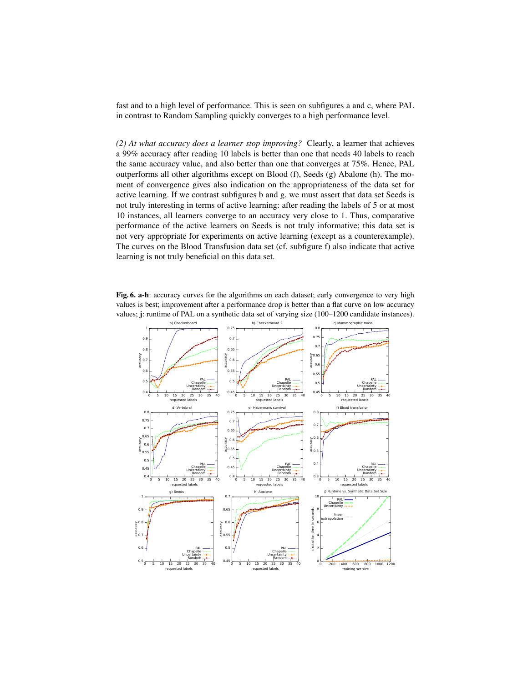fast and to a high level of performance. This is seen on subfigures a and c, where PAL in contrast to Random Sampling quickly converges to a high performance level.

*(2) At what accuracy does a learner stop improving?* Clearly, a learner that achieves a 99% accuracy after reading 10 labels is better than one that needs 40 labels to reach the same accuracy value, and also better than one that converges at 75%. Hence, PAL outperforms all other algorithms except on Blood (f), Seeds (g) Abalone (h). The moment of convergence gives also indication on the appropriateness of the data set for active learning. If we contrast subfigures b and g, we must assert that data set Seeds is not truly interesting in terms of active learning: after reading the labels of 5 or at most 10 instances, all learners converge to an accuracy very close to 1. Thus, comparative performance of the active learners on Seeds is not truly informative; this data set is not very appropriate for experiments on active learning (except as a counterexample). The curves on the Blood Transfusion data set (cf. subfigure f) also indicate that active learning is not truly beneficial on this data set.

Fig. 6. a-h: accuracy curves for the algorithms on each dataset; early convergence to very high values is best; improvement after a performance drop is better than a flat curve on low accuracy values; j: runtime of PAL on a synthetic data set of varying size (100–1200 candidate instances).

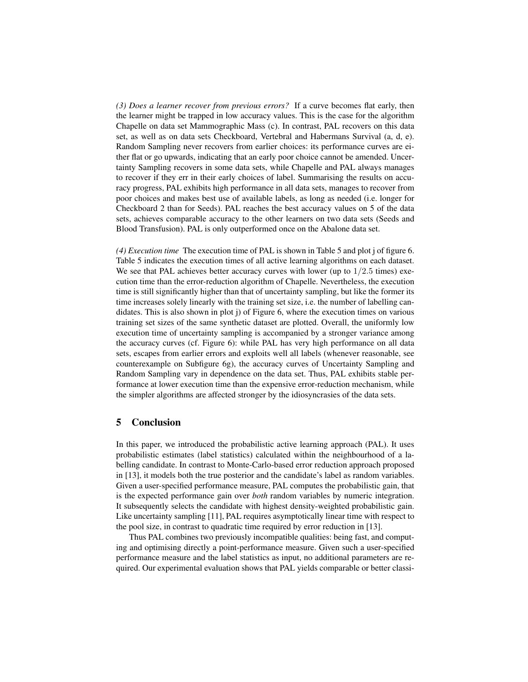*(3) Does a learner recover from previous errors?* If a curve becomes flat early, then the learner might be trapped in low accuracy values. This is the case for the algorithm Chapelle on data set Mammographic Mass (c). In contrast, PAL recovers on this data set, as well as on data sets Checkboard, Vertebral and Habermans Survival (a, d, e). Random Sampling never recovers from earlier choices: its performance curves are either flat or go upwards, indicating that an early poor choice cannot be amended. Uncertainty Sampling recovers in some data sets, while Chapelle and PAL always manages to recover if they err in their early choices of label. Summarising the results on accuracy progress, PAL exhibits high performance in all data sets, manages to recover from poor choices and makes best use of available labels, as long as needed (i.e. longer for Checkboard 2 than for Seeds). PAL reaches the best accuracy values on 5 of the data sets, achieves comparable accuracy to the other learners on two data sets (Seeds and Blood Transfusion). PAL is only outperformed once on the Abalone data set.

*(4) Execution time* The execution time of PAL is shown in Table 5 and plot j of figure 6. Table 5 indicates the execution times of all active learning algorithms on each dataset. We see that PAL achieves better accuracy curves with lower (up to  $1/2.5$  times) execution time than the error-reduction algorithm of Chapelle. Nevertheless, the execution time is still significantly higher than that of uncertainty sampling, but like the former its time increases solely linearly with the training set size, i.e. the number of labelling candidates. This is also shown in plot j) of Figure 6, where the execution times on various training set sizes of the same synthetic dataset are plotted. Overall, the uniformly low execution time of uncertainty sampling is accompanied by a stronger variance among the accuracy curves (cf. Figure 6): while PAL has very high performance on all data sets, escapes from earlier errors and exploits well all labels (whenever reasonable, see counterexample on Subfigure 6g), the accuracy curves of Uncertainty Sampling and Random Sampling vary in dependence on the data set. Thus, PAL exhibits stable performance at lower execution time than the expensive error-reduction mechanism, while the simpler algorithms are affected stronger by the idiosyncrasies of the data sets.

## 5 Conclusion

In this paper, we introduced the probabilistic active learning approach (PAL). It uses probabilistic estimates (label statistics) calculated within the neighbourhood of a labelling candidate. In contrast to Monte-Carlo-based error reduction approach proposed in [13], it models both the true posterior and the candidate's label as random variables. Given a user-specified performance measure, PAL computes the probabilistic gain, that is the expected performance gain over *both* random variables by numeric integration. It subsequently selects the candidate with highest density-weighted probabilistic gain. Like uncertainty sampling [11], PAL requires asymptotically linear time with respect to the pool size, in contrast to quadratic time required by error reduction in [13].

Thus PAL combines two previously incompatible qualities: being fast, and computing and optimising directly a point-performance measure. Given such a user-specified performance measure and the label statistics as input, no additional parameters are required. Our experimental evaluation shows that PAL yields comparable or better classi